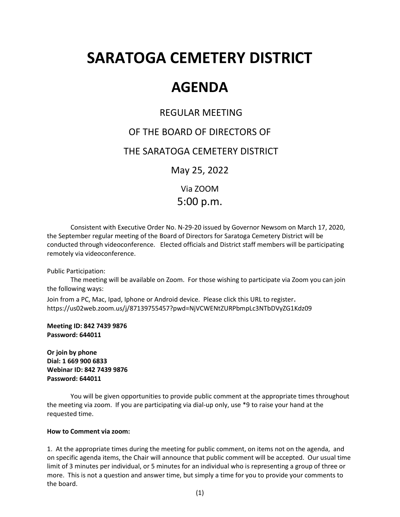# **SARATOGA CEMETERY DISTRICT**

# **AGENDA**

## REGULAR MEETING

# OF THE BOARD OF DIRECTORS OF

## THE SARATOGA CEMETERY DISTRICT

May 25, 2022

Via ZOOM 5:00 p.m.

Consistent with Executive Order No. N-29-20 issued by Governor Newsom on March 17, 2020, the September regular meeting of the Board of Directors for Saratoga Cemetery District will be conducted through videoconference. Elected officials and District staff members will be participating remotely via videoconference.

Public Participation:

The meeting will be available on Zoom. For those wishing to participate via Zoom you can join the following ways:

Join from a PC, Mac, Ipad, Iphone or Android device. Please click this URL to register. https://us02web.zoom.us/j/87139755457?pwd=NjVCWENtZURPbmpLc3NTbDVyZG1Kdz09

**Meeting ID: 842 7439 9876 Password: 644011**

**Or join by phone Dial: 1 669 900 6833 Webinar ID: 842 7439 9876 Password: 644011**

You will be given opportunities to provide public comment at the appropriate times throughout the meeting via zoom. If you are participating via dial-up only, use \*9 to raise your hand at the requested time.

#### **How to Comment via zoom:**

1. At the appropriate times during the meeting for public comment, on items not on the agenda, and on specific agenda items, the Chair will announce that public comment will be accepted. Our usual time limit of 3 minutes per individual, or 5 minutes for an individual who is representing a group of three or more. This is not a question and answer time, but simply a time for you to provide your comments to the board.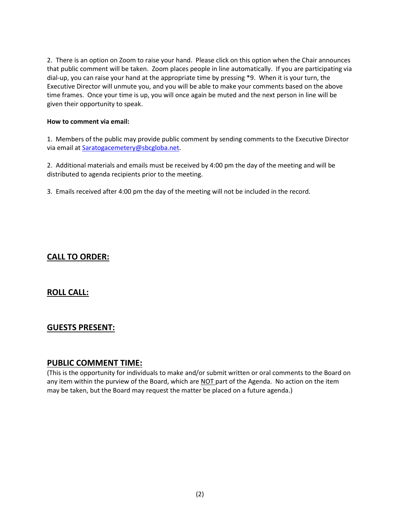2. There is an option on Zoom to raise your hand. Please click on this option when the Chair announces that public comment will be taken. Zoom places people in line automatically. If you are participating via dial-up, you can raise your hand at the appropriate time by pressing \*9. When it is your turn, the Executive Director will unmute you, and you will be able to make your comments based on the above time frames. Once your time is up, you will once again be muted and the next person in line will be given their opportunity to speak.

#### **How to comment via email:**

1. Members of the public may provide public comment by sending comments to the Executive Director via email at [Saratogacemetery@sbcgloba.net.](mailto:Saratogacemetery@sbcgloba.net)

2. Additional materials and emails must be received by 4:00 pm the day of the meeting and will be distributed to agenda recipients prior to the meeting.

3. Emails received after 4:00 pm the day of the meeting will not be included in the record.

## **CALL TO ORDER:**

### **ROLL CALL:**

### **GUESTS PRESENT:**

#### **PUBLIC COMMENT TIME:**

(This is the opportunity for individuals to make and/or submit written or oral comments to the Board on any item within the purview of the Board, which are NOT part of the Agenda. No action on the item may be taken, but the Board may request the matter be placed on a future agenda.)